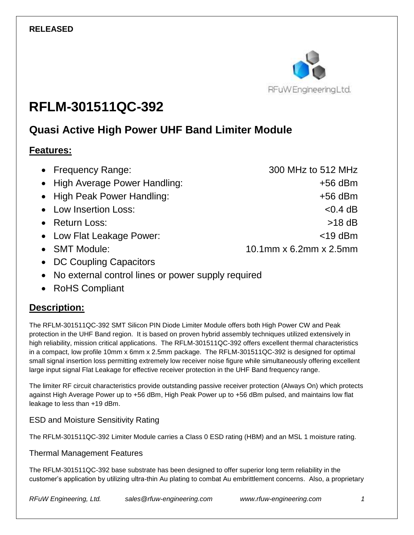

# **RFLM-301511QC-392**

## **Quasi Active High Power UHF Band Limiter Module**

#### **Features:**

| • Frequency Range:             | 300 MHz to 512 MHz     |
|--------------------------------|------------------------|
| • High Average Power Handling: | $+56$ dBm              |
| • High Peak Power Handling:    | $+56$ dBm              |
| • Low Insertion Loss:          | $< 0.4$ dB             |
| • Return Loss:                 | $>18$ dB               |
| • Low Flat Leakage Power:      | $<$ 19 dBm             |
| • SMT Module:                  | 10.1mm x 6.2mm x 2.5mm |
| • DC Coupling Capacitors       |                        |

- No external control lines or power supply required
- RoHS Compliant

### **Description:**

The RFLM-301511QC-392 SMT Silicon PIN Diode Limiter Module offers both High Power CW and Peak protection in the UHF Band region. It is based on proven hybrid assembly techniques utilized extensively in high reliability, mission critical applications. The RFLM-301511QC-392 offers excellent thermal characteristics in a compact, low profile 10mm x 6mm x 2.5mm package. The RFLM-301511QC-392 is designed for optimal small signal insertion loss permitting extremely low receiver noise figure while simultaneously offering excellent large input signal Flat Leakage for effective receiver protection in the UHF Band frequency range.

The limiter RF circuit characteristics provide outstanding passive receiver protection (Always On) which protects against High Average Power up to +56 dBm, High Peak Power up to +56 dBm pulsed, and maintains low flat leakage to less than +19 dBm.

#### ESD and Moisture Sensitivity Rating

The RFLM-301511QC-392 Limiter Module carries a Class 0 ESD rating (HBM) and an MSL 1 moisture rating.

#### Thermal Management Features

The RFLM-301511QC-392 base substrate has been designed to offer superior long term reliability in the customer's application by utilizing ultra-thin Au plating to combat Au embrittlement concerns. Also, a proprietary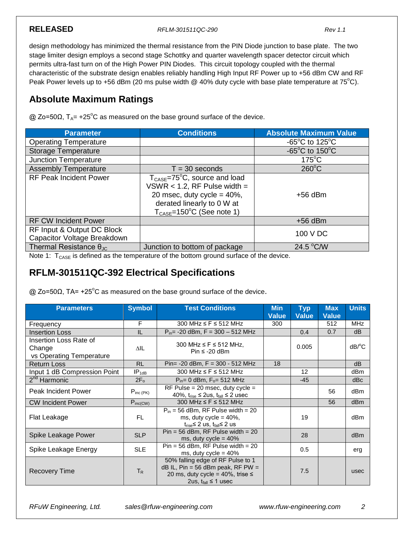**RELEASED** *RFLM-301511QC-290 Rev 1.1*

design methodology has minimized the thermal resistance from the PIN Diode junction to base plate. The two stage limiter design employs a second stage Schottky and quarter wavelength spacer detector circuit which permits ultra-fast turn on of the High Power PIN Diodes. This circuit topology coupled with the thermal characteristic of the substrate design enables reliably handling High Input RF Power up to +56 dBm CW and RF Peak Power levels up to +56 dBm (20 ms pulse width @ 40% duty cycle with base plate temperature at 75°C).

#### **Absolute Maximum Ratings**

 $Q$  Zo=50Ω, T<sub>A</sub>= +25<sup>°</sup>C as measured on the base ground surface of the device.

| <b>Parameter</b>                                          | <b>Conditions</b>                                                                                                                                                                                      | <b>Absolute Maximum Value</b>                        |
|-----------------------------------------------------------|--------------------------------------------------------------------------------------------------------------------------------------------------------------------------------------------------------|------------------------------------------------------|
| <b>Operating Temperature</b>                              |                                                                                                                                                                                                        | -65 $\mathrm{^{\circ}C}$ to 125 $\mathrm{^{\circ}C}$ |
| <b>Storage Temperature</b>                                |                                                                                                                                                                                                        | $-65^{\circ}$ C to 150 $^{\circ}$ C                  |
| <b>Junction Temperature</b>                               |                                                                                                                                                                                                        | $175^{\circ}$ C                                      |
| <b>Assembly Temperature</b>                               | $T = 30$ seconds                                                                                                                                                                                       | $260^{\circ}$ C                                      |
| <b>RF Peak Incident Power</b>                             | $T_{\text{CASE}} = 75^{\circ}C$ , source and load<br>$VSWR < 1.2$ , RF Pulse width =<br>20 msec, duty cycle = $40\%$ ,<br>derated linearly to 0 W at<br>$T_{\text{CASE}} = 150^{\circ}$ C (See note 1) | $+56$ dBm                                            |
| <b>RF CW Incident Power</b>                               |                                                                                                                                                                                                        | $+56$ dBm                                            |
| RF Input & Output DC Block<br>Capacitor Voltage Breakdown |                                                                                                                                                                                                        | 100 V DC                                             |
| Thermal Resistance $\theta_{\text{JC}}$                   | Junction to bottom of package                                                                                                                                                                          | 24.5 °C/W                                            |

Note 1:  $T_{\text{CASE}}$  is defined as the temperature of the bottom ground surface of the device.

#### **RFLM-301511QC-392 Electrical Specifications**

 $\omega$  Zo=50Ω, TA= +25<sup>o</sup>C as measured on the base ground surface of the device.

| <b>Parameters</b>                                            | <b>Symbol</b> | <b>Test Conditions</b>                                                                                                                                   | <b>Min</b><br><b>Value</b> | <b>Typ</b><br><b>Value</b> | <b>Max</b><br><b>Value</b> | <b>Units</b>          |
|--------------------------------------------------------------|---------------|----------------------------------------------------------------------------------------------------------------------------------------------------------|----------------------------|----------------------------|----------------------------|-----------------------|
| Frequency                                                    | F             | 300 MHz $\leq$ F $\leq$ 512 MHz                                                                                                                          | 300                        |                            | 512                        | MHz                   |
| <b>Insertion Loss</b>                                        | IL            | $P_{in}$ = -20 dBm, F = 300 - 512 MHz                                                                                                                    |                            | 0.4                        | 0.7                        | dB                    |
| Insertion Loss Rate of<br>Change<br>vs Operating Temperature | ΔIL           | 300 MHz $\leq$ F $\leq$ 512 MHz,<br>Pin $\leq$ -20 dBm                                                                                                   |                            | 0.005                      |                            | $dB$ <sup>o</sup> $C$ |
| <b>Return Loss</b>                                           | <b>RL</b>     | Pin= $-20$ dBm, $F = 300 - 512$ MHz                                                                                                                      | 18                         |                            |                            | dB                    |
| Input 1 dB Compression Point                                 | $IP_{1dB}$    | 300 MHz $\leq$ F $\leq$ 512 MHz                                                                                                                          |                            | 12 <sup>2</sup>            |                            | dBm                   |
| 2 <sup>nd</sup> Harmonic                                     | $2F_{o}$      | $P_{in} = 0$ dBm, $F_{0} = 512$ MHz                                                                                                                      |                            | $-45$                      |                            | dBc                   |
| <b>Peak Incident Power</b>                                   | $P_{inc(PK)}$ | RF Pulse = 20 msec, duty cycle =<br>40%, $t_{rise} \leq 2$ us, $t_{fall} \leq 2$ usec                                                                    |                            |                            | 56                         | dBm                   |
| <b>CW Incident Power</b>                                     | $P_{inc(CW)}$ | 300 MHz $\leq$ F $\leq$ 512 MHz                                                                                                                          |                            |                            | 56                         | dB <sub>m</sub>       |
| Flat Leakage                                                 | <b>FL</b>     | $P_{in}$ = 56 dBm, RF Pulse width = 20<br>ms, duty cycle = $40\%$ ,<br>$t_{rise}$ ≤ 2 us, $t_{fall}$ ≤ 2 us                                              |                            | 19                         |                            | dBm                   |
| Spike Leakage Power                                          | <b>SLP</b>    | $Pin = 56$ dBm, RF Pulse width = 20<br>ms, duty cycle = $40\%$                                                                                           |                            | 28                         |                            | d <sub>Bm</sub>       |
| Spike Leakage Energy                                         | <b>SLE</b>    | $Pin = 56$ dBm, RF Pulse width = 20<br>ms, duty cycle = $40\%$                                                                                           |                            | 0.5                        |                            | erg                   |
| <b>Recovery Time</b>                                         | $T_R$         | 50% falling edge of RF Pulse to 1<br>$dB$ IL, Pin = 56 dBm peak, RF PW =<br>20 ms, duty cycle = $40\%$ , trise $\leq$<br>2us, t <sub>fall</sub> ≤ 1 usec |                            | 7.5                        |                            | usec                  |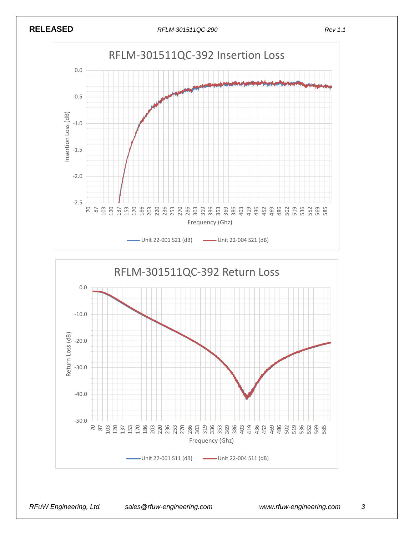



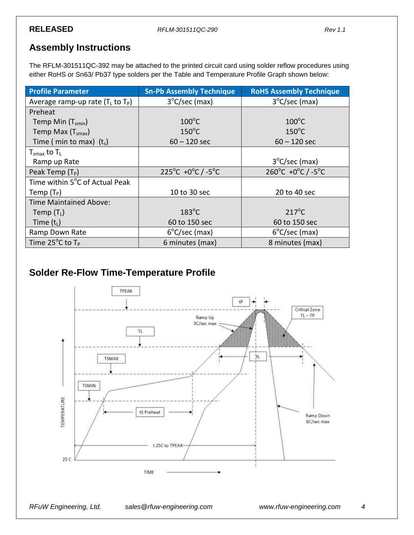#### **Assembly Instructions**

The RFLM-301511QC-392 may be attached to the printed circuit card using solder reflow procedures using either RoHS or Sn63/ Pb37 type solders per the Table and Temperature Profile Graph shown below:

| <b>Profile Parameter</b>               | <b>Sn-Pb Assembly Technique</b> | <b>RoHS Assembly Technique</b>                    |
|----------------------------------------|---------------------------------|---------------------------------------------------|
| Average ramp-up rate $(T_L$ to $T_P$ ) | $3^{\circ}$ C/sec (max)         | $3^{\circ}$ C/sec (max)                           |
| Preheat                                |                                 |                                                   |
| Temp Min $(T_{smin})$                  | $100^{\circ}$ C                 | $100^{\circ}$ C                                   |
| Temp Max $(Tsmax)$                     | $150^{\circ}$ C                 | $150^{\circ}$ C                                   |
| Time ( min to max) $(t_s)$             | $60 - 120$ sec                  | $60 - 120$ sec                                    |
| $T_{\text{smax}}$ to $T_L$             |                                 |                                                   |
| Ramp up Rate                           |                                 | $3^{\circ}$ C/sec (max)                           |
| Peak Temp $(T_P)$                      | 225°C +0°C $/$ -5°C             | $260^{\circ}$ C +0 $^{\circ}$ C / -5 $^{\circ}$ C |
| Time within 5°C of Actual Peak         |                                 |                                                   |
| Temp $(T_P)$                           | 10 to 30 sec                    | 20 to 40 sec                                      |
| <b>Time Maintained Above:</b>          |                                 |                                                   |
| Temp $(T_L)$                           | $183^{\circ}$ C                 | $217^{\circ}$ C                                   |
| Time $(t_L)$                           | 60 to 150 sec                   | 60 to 150 sec                                     |
| Ramp Down Rate                         | $6^{\circ}$ C/sec (max)         | $6^{\circ}$ C/sec (max)                           |
| Time $25^{\circ}$ C to T <sub>P</sub>  | 6 minutes (max)                 | 8 minutes (max)                                   |

### **Solder Re-Flow Time-Temperature Profile**

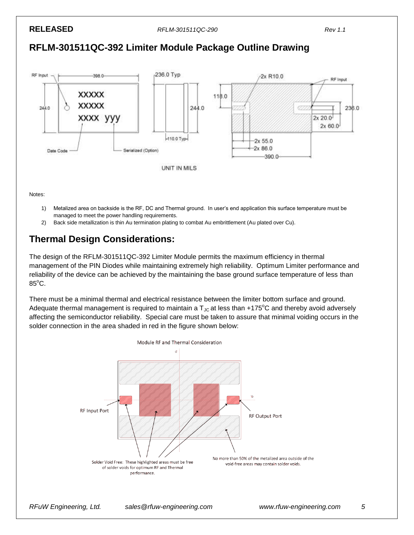#### **RFLM-301511QC-392 Limiter Module Package Outline Drawing**



Notes:

- 1) Metalized area on backside is the RF, DC and Thermal ground. In user's end application this surface temperature must be managed to meet the power handling requirements.
- 2) Back side metallization is thin Au termination plating to combat Au embrittlement (Au plated over Cu).

### **Thermal Design Considerations:**

The design of the RFLM-301511QC-392 Limiter Module permits the maximum efficiency in thermal management of the PIN Diodes while maintaining extremely high reliability. Optimum Limiter performance and reliability of the device can be achieved by the maintaining the base ground surface temperature of less than  $85^{\circ}$ C.

There must be a minimal thermal and electrical resistance between the limiter bottom surface and ground. Adequate thermal management is required to maintain a  $T_{\text{JC}}$  at less than +175°C and thereby avoid adversely affecting the semiconductor reliability. Special care must be taken to assure that minimal voiding occurs in the solder connection in the area shaded in red in the figure shown below: